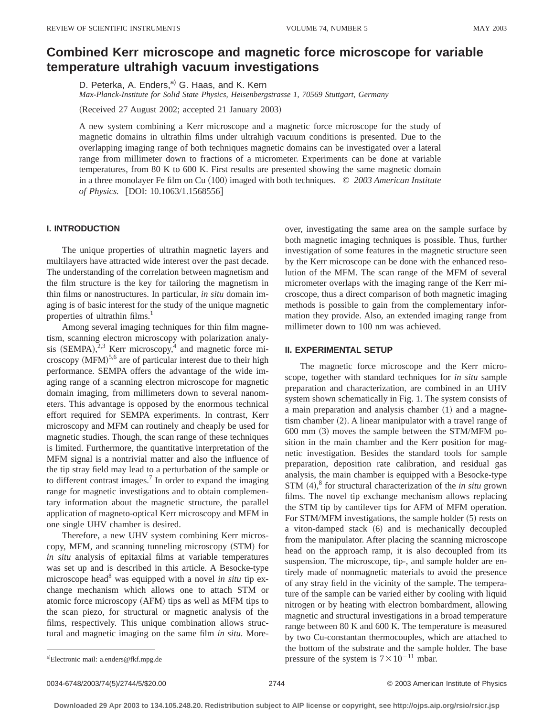# **Combined Kerr microscope and magnetic force microscope for variable temperature ultrahigh vacuum investigations**

D. Peterka, A. Enders,<sup>a)</sup> G. Haas, and K. Kern

*Max-Planck-Institute for Solid State Physics, Heisenbergstrasse 1, 70569 Stuttgart, Germany*

(Received 27 August 2002; accepted 21 January 2003)

A new system combining a Kerr microscope and a magnetic force microscope for the study of magnetic domains in ultrathin films under ultrahigh vacuum conditions is presented. Due to the overlapping imaging range of both techniques magnetic domains can be investigated over a lateral range from millimeter down to fractions of a micrometer. Experiments can be done at variable temperatures, from 80 K to 600 K. First results are presented showing the same magnetic domain in a three monolayer Fe film on Cu (100) imaged with both techniques. © 2003 American Institute *of Physics.* [DOI: 10.1063/1.1568556]

## **I. INTRODUCTION**

The unique properties of ultrathin magnetic layers and multilayers have attracted wide interest over the past decade. The understanding of the correlation between magnetism and the film structure is the key for tailoring the magnetism in thin films or nanostructures. In particular, *in situ* domain imaging is of basic interest for the study of the unique magnetic properties of ultrathin films.<sup>1</sup>

Among several imaging techniques for thin film magnetism, scanning electron microscopy with polarization analysis (SEMPA), $^{2,3}$  Kerr microscopy,<sup>4</sup> and magnetic force microscopy  $(MFM)^{5,6}$  are of particular interest due to their high performance. SEMPA offers the advantage of the wide imaging range of a scanning electron microscope for magnetic domain imaging, from millimeters down to several nanometers. This advantage is opposed by the enormous technical effort required for SEMPA experiments. In contrast, Kerr microscopy and MFM can routinely and cheaply be used for magnetic studies. Though, the scan range of these techniques is limited. Furthermore, the quantitative interpretation of the MFM signal is a nontrivial matter and also the influence of the tip stray field may lead to a perturbation of the sample or to different contrast images.<sup>7</sup> In order to expand the imaging range for magnetic investigations and to obtain complementary information about the magnetic structure, the parallel application of magneto-optical Kerr microscopy and MFM in one single UHV chamber is desired.

Therefore, a new UHV system combining Kerr microscopy, MFM, and scanning tunneling microscopy (STM) for *in situ* analysis of epitaxial films at variable temperatures was set up and is described in this article. A Besocke-type microscope head<sup>8</sup> was equipped with a novel *in situ* tip exchange mechanism which allows one to attach STM or atomic force microscopy (AFM) tips as well as MFM tips to the scan piezo, for structural or magnetic analysis of the films, respectively. This unique combination allows structural and magnetic imaging on the same film *in situ*. Moreover, investigating the same area on the sample surface by both magnetic imaging techniques is possible. Thus, further investigation of some features in the magnetic structure seen by the Kerr microscope can be done with the enhanced resolution of the MFM. The scan range of the MFM of several micrometer overlaps with the imaging range of the Kerr microscope, thus a direct comparison of both magnetic imaging methods is possible to gain from the complementary information they provide. Also, an extended imaging range from millimeter down to 100 nm was achieved.

#### **II. EXPERIMENTAL SETUP**

The magnetic force microscope and the Kerr microscope, together with standard techniques for *in situ* sample preparation and characterization, are combined in an UHV system shown schematically in Fig. 1. The system consists of a main preparation and analysis chamber  $(1)$  and a magnetism chamber  $(2)$ . A linear manipulator with a travel range of  $600$  mm  $(3)$  moves the sample between the STM/MFM position in the main chamber and the Kerr position for magnetic investigation. Besides the standard tools for sample preparation, deposition rate calibration, and residual gas analysis, the main chamber is equipped with a Besocke-type STM (4),<sup>8</sup> for structural characterization of the *in situ* grown films. The novel tip exchange mechanism allows replacing the STM tip by cantilever tips for AFM of MFM operation. For STM/MFM investigations, the sample holder (5) rests on a viton-damped stack  $(6)$  and is mechanically decoupled from the manipulator. After placing the scanning microscope head on the approach ramp, it is also decoupled from its suspension. The microscope, tip-, and sample holder are entirely made of nonmagnetic materials to avoid the presence of any stray field in the vicinity of the sample. The temperature of the sample can be varied either by cooling with liquid nitrogen or by heating with electron bombardment, allowing magnetic and structural investigations in a broad temperature range between 80 K and 600 K. The temperature is measured by two Cu-constantan thermocouples, which are attached to the bottom of the substrate and the sample holder. The base pressure of the system is  $7 \times 10^{-11}$  mbar.

a)Electronic mail: a.enders@fkf.mpg.de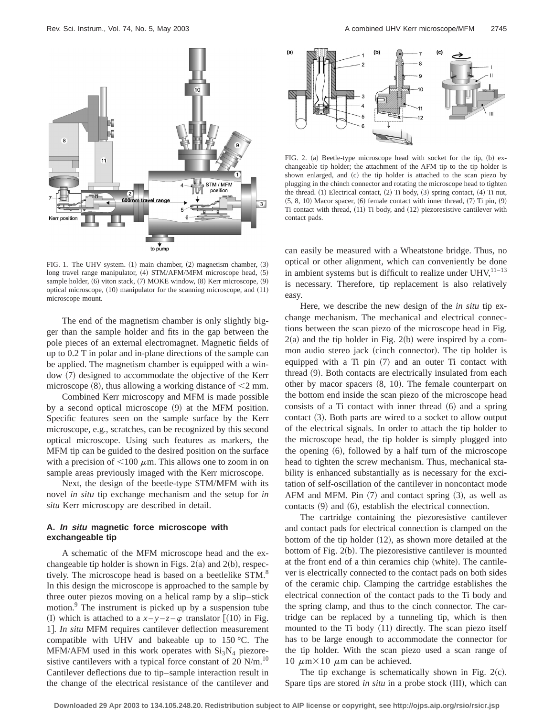

FIG. 1. The UHV system.  $(1)$  main chamber,  $(2)$  magnetism chamber,  $(3)$ long travel range manipulator, (4) STM/AFM/MFM microscope head, (5) sample holder, (6) viton stack, (7) MOKE window, (8) Kerr microscope, (9) optical microscope,  $(10)$  manipulator for the scanning microscope, and  $(11)$ microscope mount.

The end of the magnetism chamber is only slightly bigger than the sample holder and fits in the gap between the pole pieces of an external electromagnet. Magnetic fields of up to 0.2 T in polar and in-plane directions of the sample can be applied. The magnetism chamber is equipped with a window (7) designed to accommodate the objective of the Kerr microscope  $(8)$ , thus allowing a working distance of  $\leq$  2 mm.

Combined Kerr microscopy and MFM is made possible by a second optical microscope  $(9)$  at the MFM position. Specific features seen on the sample surface by the Kerr microscope, e.g., scratches, can be recognized by this second optical microscope. Using such features as markers, the MFM tip can be guided to the desired position on the surface with a precision of  $\leq 100 \mu$ m. This allows one to zoom in on sample areas previously imaged with the Kerr microscope.

Next, the design of the beetle-type STM/MFM with its novel *in situ* tip exchange mechanism and the setup for *in situ* Kerr microscopy are described in detail.

## **A. In situ magnetic force microscope with exchangeable tip**

A schematic of the MFM microscope head and the exchangeable tip holder is shown in Figs.  $2(a)$  and  $2(b)$ , respectively. The microscope head is based on a beetlelike STM.<sup>8</sup> In this design the microscope is approached to the sample by three outer piezos moving on a helical ramp by a slip–stick motion.<sup>9</sup> The instrument is picked up by a suspension tube (I) which is attached to a  $x-y-z-\varphi$  translator  $\lceil (10)$  in Fig. 1]. *In situ* MFM requires cantilever deflection measurement compatible with UHV and bakeable up to 150 °C. The MFM/AFM used in this work operates with  $Si<sub>3</sub>N<sub>4</sub>$  piezoresistive cantilevers with a typical force constant of 20  $N/m$ .<sup>10</sup> Cantilever deflections due to tip–sample interaction result in the change of the electrical resistance of the cantilever and



FIG. 2. (a) Beetle-type microscope head with socket for the tip,  $(b)$  exchangeable tip holder; the attachment of the AFM tip to the tip holder is shown enlarged, and (c) the tip holder is attached to the scan piezo by plugging in the chinch connector and rotating the microscope head to tighten the thread.  $(1)$  Electrical contact,  $(2)$  Ti body,  $(3)$  spring contact,  $(4)$  Ti nut,  $(5, 8, 10)$  Macor spacer,  $(6)$  female contact with inner thread,  $(7)$  Ti pin,  $(9)$ Ti contact with thread,  $(11)$  Ti body, and  $(12)$  piezoresistive cantilever with contact pads.

can easily be measured with a Wheatstone bridge. Thus, no optical or other alignment, which can conveniently be done in ambient systems but is difficult to realize under  $UHV$ ,  $11-13$ is necessary. Therefore, tip replacement is also relatively easy.

Here, we describe the new design of the *in situ* tip exchange mechanism. The mechanical and electrical connections between the scan piezo of the microscope head in Fig.  $2(a)$  and the tip holder in Fig.  $2(b)$  were inspired by a common audio stereo jack (cinch connector). The tip holder is equipped with a  $Ti$  pin  $(7)$  and an outer  $Ti$  contact with thread  $(9)$ . Both contacts are electrically insulated from each other by macor spacers  $(8, 10)$ . The female counterpart on the bottom end inside the scan piezo of the microscope head consists of a  $Ti$  contact with inner thread  $(6)$  and a spring contact  $(3)$ . Both parts are wired to a socket to allow output of the electrical signals. In order to attach the tip holder to the microscope head, the tip holder is simply plugged into the opening  $(6)$ , followed by a half turn of the microscope head to tighten the screw mechanism. Thus, mechanical stability is enhanced substantially as is necessary for the excitation of self-oscillation of the cantilever in noncontact mode AFM and MFM. Pin  $(7)$  and contact spring  $(3)$ , as well as contacts  $(9)$  and  $(6)$ , establish the electrical connection.

The cartridge containing the piezoresistive cantilever and contact pads for electrical connection is clamped on the bottom of the tip holder  $(12)$ , as shown more detailed at the bottom of Fig.  $2(b)$ . The piezoresistive cantilever is mounted at the front end of a thin ceramics chip (white). The cantilever is electrically connected to the contact pads on both sides of the ceramic chip. Clamping the cartridge establishes the electrical connection of the contact pads to the Ti body and the spring clamp, and thus to the cinch connector. The cartridge can be replaced by a tunneling tip, which is then mounted to the Ti body  $(11)$  directly. The scan piezo itself has to be large enough to accommodate the connector for the tip holder. With the scan piezo used a scan range of 10  $\mu$ m×10  $\mu$ m can be achieved.

The tip exchange is schematically shown in Fig.  $2(c)$ . Spare tips are stored *in situ* in a probe stock (III), which can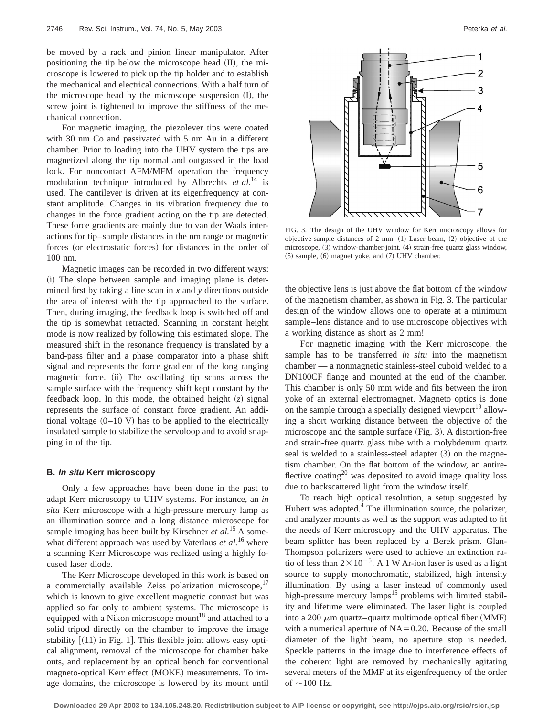be moved by a rack and pinion linear manipulator. After positioning the tip below the microscope head  $(II)$ , the microscope is lowered to pick up the tip holder and to establish the mechanical and electrical connections. With a half turn of the microscope head by the microscope suspension  $(I)$ , the screw joint is tightened to improve the stiffness of the mechanical connection.

For magnetic imaging, the piezolever tips were coated with 30 nm Co and passivated with 5 nm Au in a different chamber. Prior to loading into the UHV system the tips are magnetized along the tip normal and outgassed in the load lock. For noncontact AFM/MFM operation the frequency modulation technique introduced by Albrechts *et al.*<sup>14</sup> is used. The cantilever is driven at its eigenfrequency at constant amplitude. Changes in its vibration frequency due to changes in the force gradient acting on the tip are detected. These force gradients are mainly due to van der Waals interactions for tip–sample distances in the nm range or magnetic forces (or electrostatic forces) for distances in the order of 100 nm.

Magnetic images can be recorded in two different ways: (i) The slope between sample and imaging plane is determined first by taking a line scan in *x* and *y* directions outside the area of interest with the tip approached to the surface. Then, during imaging, the feedback loop is switched off and the tip is somewhat retracted. Scanning in constant height mode is now realized by following this estimated slope. The measured shift in the resonance frequency is translated by a band-pass filter and a phase comparator into a phase shift signal and represents the force gradient of the long ranging magnetic force. (ii) The oscillating tip scans across the sample surface with the frequency shift kept constant by the feedback loop. In this mode, the obtained height  $(z)$  signal represents the surface of constant force gradient. An additional voltage  $(0-10 \text{ V})$  has to be applied to the electrically insulated sample to stabilize the servoloop and to avoid snapping in of the tip.

#### **B. In situ Kerr microscopy**

Only a few approaches have been done in the past to adapt Kerr microscopy to UHV systems. For instance, an *in situ* Kerr microscope with a high-pressure mercury lamp as an illumination source and a long distance microscope for sample imaging has been built by Kirschner *et al.*<sup>15</sup> A somewhat different approach was used by Vaterlaus *et al.*<sup>16</sup> where a scanning Kerr Microscope was realized using a highly focused laser diode.

The Kerr Microscope developed in this work is based on a commercially available Zeiss polarization microscope, $1/$ which is known to give excellent magnetic contrast but was applied so far only to ambient systems. The microscope is equipped with a Nikon microscope mount<sup>18</sup> and attached to a solid tripod directly on the chamber to improve the image stability  $(11)$  in Fig. 1. This flexible joint allows easy optical alignment, removal of the microscope for chamber bake outs, and replacement by an optical bench for conventional magneto-optical Kerr effect (MOKE) measurements. To image domains, the microscope is lowered by its mount until



FIG. 3. The design of the UHV window for Kerr microscopy allows for objective-sample distances of  $2$  mm.  $(1)$  Laser beam,  $(2)$  objective of the microscope, (3) window-chamber-joint, (4) strain-free quartz glass window,  $(5)$  sample,  $(6)$  magnet yoke, and  $(7)$  UHV chamber.

the objective lens is just above the flat bottom of the window of the magnetism chamber, as shown in Fig. 3. The particular design of the window allows one to operate at a minimum sample–lens distance and to use microscope objectives with a working distance as short as 2 mm!

For magnetic imaging with the Kerr microscope, the sample has to be transferred *in situ* into the magnetism chamber — a nonmagnetic stainless-steel cuboid welded to a DN100CF flange and mounted at the end of the chamber. This chamber is only 50 mm wide and fits between the iron yoke of an external electromagnet. Magneto optics is done on the sample through a specially designed viewport<sup>19</sup> allowing a short working distance between the objective of the microscope and the sample surface  $(Fig. 3)$ . A distortion-free and strain-free quartz glass tube with a molybdenum quartz seal is welded to a stainless-steel adapter  $(3)$  on the magnetism chamber. On the flat bottom of the window, an antireflective coating<sup>20</sup> was deposited to avoid image quality loss due to backscattered light from the window itself.

To reach high optical resolution, a setup suggested by Hubert was adopted.<sup>4</sup> The illumination source, the polarizer, and analyzer mounts as well as the support was adapted to fit the needs of Kerr microscopy and the UHV apparatus. The beam splitter has been replaced by a Berek prism. Glan-Thompson polarizers were used to achieve an extinction ratio of less than  $2 \times 10^{-5}$ . A 1 W Ar-ion laser is used as a light source to supply monochromatic, stabilized, high intensity illumination. By using a laser instead of commonly used high-pressure mercury lamps<sup>15</sup> problems with limited stability and lifetime were eliminated. The laser light is coupled into a 200  $\mu$ m quartz–quartz multimode optical fiber (MMF) with a numerical aperture of  $NA = 0.20$ . Because of the small diameter of the light beam, no aperture stop is needed. Speckle patterns in the image due to interference effects of the coherent light are removed by mechanically agitating several meters of the MMF at its eigenfrequency of the order of  $\sim$ 100 Hz.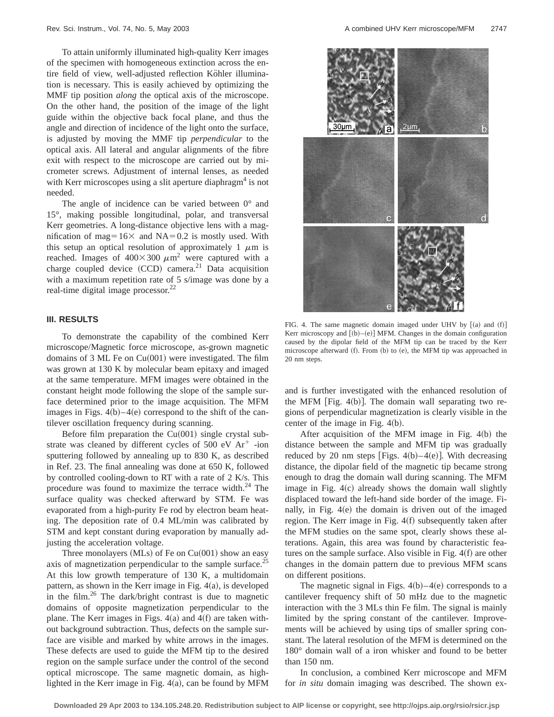To attain uniformly illuminated high-quality Kerr images of the specimen with homogeneous extinction across the entire field of view, well-adjusted reflection Köhler illumination is necessary. This is easily achieved by optimizing the MMF tip position *along* the optical axis of the microscope. On the other hand, the position of the image of the light guide within the objective back focal plane, and thus the angle and direction of incidence of the light onto the surface, is adjusted by moving the MMF tip *perpendicular* to the optical axis. All lateral and angular alignments of the fibre exit with respect to the microscope are carried out by micrometer screws. Adjustment of internal lenses, as needed with Kerr microscopes using a slit aperture diaphragm<sup>4</sup> is not needed.

The angle of incidence can be varied between  $0^{\circ}$  and 15°, making possible longitudinal, polar, and transversal Kerr geometries. A long-distance objective lens with a magnification of mag=16 $\times$  and NA=0.2 is mostly used. With this setup an optical resolution of approximately 1  $\mu$ m is reached. Images of  $400\times300 \ \mu \text{m}^2$  were captured with a charge coupled device  $(CCD)$  camera.<sup>21</sup> Data acquisition with a maximum repetition rate of 5 s/image was done by a real-time digital image processor.<sup>22</sup>

## **III. RESULTS**

To demonstrate the capability of the combined Kerr microscope/Magnetic force microscope, as-grown magnetic domains of 3 ML Fe on  $Cu(001)$  were investigated. The film was grown at 130 K by molecular beam epitaxy and imaged at the same temperature. MFM images were obtained in the constant height mode following the slope of the sample surface determined prior to the image acquisition. The MFM images in Figs.  $4(b)$ – $4(e)$  correspond to the shift of the cantilever oscillation frequency during scanning.

Before film preparation the  $Cu(001)$  single crystal substrate was cleaned by different cycles of  $500 \text{ eV} \text{ Ar}^+$  -ion sputtering followed by annealing up to 830 K, as described in Ref. 23. The final annealing was done at 650 K, followed by controlled cooling-down to RT with a rate of 2 K/s. This procedure was found to maximize the terrace width. $^{24}$  The surface quality was checked afterward by STM. Fe was evaporated from a high-purity Fe rod by electron beam heating. The deposition rate of 0.4 ML/min was calibrated by STM and kept constant during evaporation by manually adjusting the acceleration voltage.

Three monolayers  $(MLs)$  of Fe on Cu $(001)$  show an easy axis of magnetization perpendicular to the sample surface.<sup>25</sup> At this low growth temperature of 130 K, a multidomain pattern, as shown in the Kerr image in Fig.  $4(a)$ , is developed in the film.26 The dark/bright contrast is due to magnetic domains of opposite magnetization perpendicular to the plane. The Kerr images in Figs.  $4(a)$  and  $4(f)$  are taken without background subtraction. Thus, defects on the sample surface are visible and marked by white arrows in the images. These defects are used to guide the MFM tip to the desired region on the sample surface under the control of the second optical microscope. The same magnetic domain, as highlighted in the Kerr image in Fig.  $4(a)$ , can be found by MFM



FIG. 4. The same magnetic domain imaged under UHV by  $[(a)$  and  $(f)]$ Kerr microscopy and  $[(b)–(e)]$  MFM. Changes in the domain configuration caused by the dipolar field of the MFM tip can be traced by the Kerr microscope afterward  $(f)$ . From  $(b)$  to  $(e)$ , the MFM tip was approached in 20 nm steps.

and is further investigated with the enhanced resolution of the MFM [Fig.  $4(b)$ ]. The domain wall separating two regions of perpendicular magnetization is clearly visible in the center of the image in Fig.  $4(b)$ .

After acquisition of the MFM image in Fig.  $4(b)$  the distance between the sample and MFM tip was gradually reduced by 20 nm steps  $|Figs. 4(b)-4(e)|$ . With decreasing distance, the dipolar field of the magnetic tip became strong enough to drag the domain wall during scanning. The MFM image in Fig.  $4(c)$  already shows the domain wall slightly displaced toward the left-hand side border of the image. Finally, in Fig.  $4(e)$  the domain is driven out of the imaged region. The Kerr image in Fig.  $4(f)$  subsequently taken after the MFM studies on the same spot, clearly shows these alterations. Again, this area was found by characteristic features on the sample surface. Also visible in Fig.  $4(f)$  are other changes in the domain pattern due to previous MFM scans on different positions.

The magnetic signal in Figs.  $4(b) - 4(e)$  corresponds to a cantilever frequency shift of 50 mHz due to the magnetic interaction with the 3 MLs thin Fe film. The signal is mainly limited by the spring constant of the cantilever. Improvements will be achieved by using tips of smaller spring constant. The lateral resolution of the MFM is determined on the 180° domain wall of a iron whisker and found to be better than 150 nm.

In conclusion, a combined Kerr microscope and MFM for *in situ* domain imaging was described. The shown ex